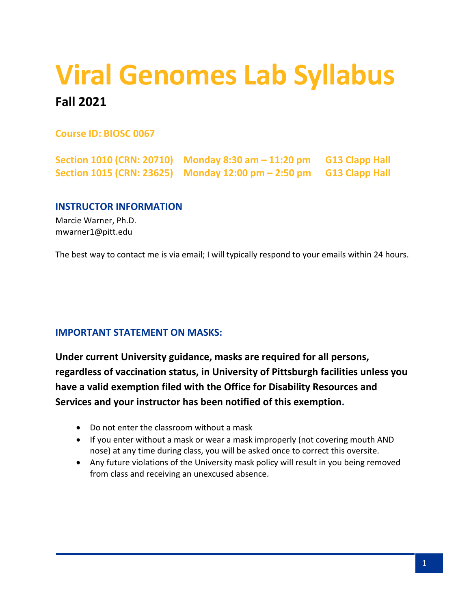# **Viral Genomes Lab Syllabus**

# **Fall 2021**

**Course ID: BIOSC 0067**

**Section 1010 (CRN: 20710) Monday 8:30 am – 11:20 pm G13 Clapp Hall Section 1015 (CRN: 23625) Monday 12:00 pm – 2:50 pm G13 Clapp Hall**

# **INSTRUCTOR INFORMATION**

Marcie Warner, Ph.D. mwarner1@pitt.edu

The best way to contact me is via email; I will typically respond to your emails within 24 hours.

# **IMPORTANT STATEMENT ON MASKS:**

**Under current University guidance, masks are required for all persons, regardless of vaccination status, in University of Pittsburgh facilities unless you have a valid exemption filed with the Office for Disability Resources and Services and your instructor has been notified of this exemption.**

- Do not enter the classroom without a mask
- If you enter without a mask or wear a mask improperly (not covering mouth AND nose) at any time during class, you will be asked once to correct this oversite.
- Any future violations of the University mask policy will result in you being removed from class and receiving an unexcused absence.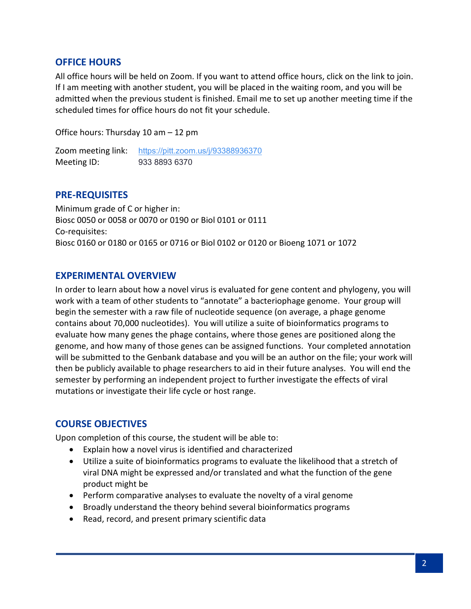### **OFFICE HOURS**

All office hours will be held on Zoom. If you want to attend office hours, click on the link to join. If I am meeting with another student, you will be placed in the waiting room, and you will be admitted when the previous student is finished. Email me to set up another meeting time if the scheduled times for office hours do not fit your schedule.

Office hours: Thursday 10 am – 12 pm

Zoom meeting link: <https://pitt.zoom.us/j/93388936370> Meeting ID: 933 8893 6370

#### **PRE-REQUISITES**

Minimum grade of C or higher in: Biosc 0050 or 0058 or 0070 or 0190 or Biol 0101 or 0111 Co-requisites: Biosc 0160 or 0180 or 0165 or 0716 or Biol 0102 or 0120 or Bioeng 1071 or 1072

#### **EXPERIMENTAL OVERVIEW**

In order to learn about how a novel virus is evaluated for gene content and phylogeny, you will work with a team of other students to "annotate" a bacteriophage genome. Your group will begin the semester with a raw file of nucleotide sequence (on average, a phage genome contains about 70,000 nucleotides). You will utilize a suite of bioinformatics programs to evaluate how many genes the phage contains, where those genes are positioned along the genome, and how many of those genes can be assigned functions. Your completed annotation will be submitted to the Genbank database and you will be an author on the file; your work will then be publicly available to phage researchers to aid in their future analyses. You will end the semester by performing an independent project to further investigate the effects of viral mutations or investigate their life cycle or host range.

# **COURSE OBJECTIVES**

Upon completion of this course, the student will be able to:

- Explain how a novel virus is identified and characterized
- Utilize a suite of bioinformatics programs to evaluate the likelihood that a stretch of viral DNA might be expressed and/or translated and what the function of the gene product might be
- Perform comparative analyses to evaluate the novelty of a viral genome
- Broadly understand the theory behind several bioinformatics programs
- Read, record, and present primary scientific data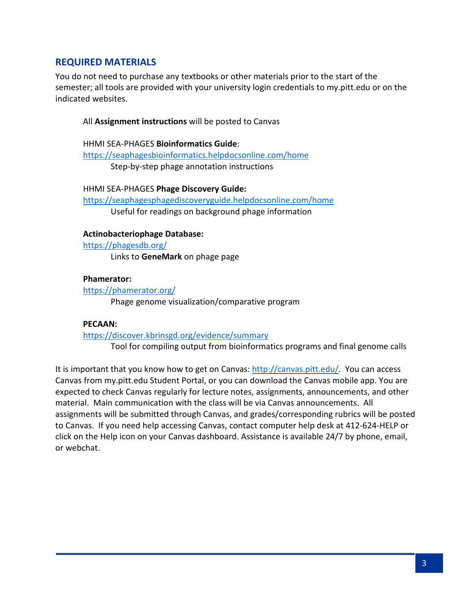# **REQUIRED MATERIALS**

You do not need to purchase any textbooks or other materials prior to the start of the semester; all tools are provided with your university login credentials to my.pitt.edu or on the indicated websites.

#### All **Assignment instructions** will be posted to Canvas

HHMI SEA-PHAGES **Bioinformatics Guide**: <https://seaphagesbioinformatics.helpdocsonline.com/home> Step-by-step phage annotation instructions

HHMI SEA-PHAGES **Phage Discovery Guide:** <https://seaphagesphagediscoveryguide.helpdocsonline.com/home> Useful for readings on background phage information

#### **Actinobacteriophage Database:**

<https://phagesdb.org/>

Links to **GeneMark** on phage page

#### **Phamerator:**

<https://phamerator.org/> Phage genome visualization/comparative program

#### **PECAAN:**

<https://discover.kbrinsgd.org/evidence/summary>

Tool for compiling output from bioinformatics programs and final genome calls

It is important that you know how to get on Canvas: [http://canvas.pitt.edu/.](http://canvas.pitt.edu/) You can access Canvas from my.pitt.edu Student Portal, or you can download the Canvas mobile app. You are expected to check Canvas regularly for lecture notes, assignments, announcements, and other material. Main communication with the class will be via Canvas announcements. All assignments will be submitted through Canvas, and grades/corresponding rubrics will be posted to Canvas. If you need help accessing Canvas, contact computer help desk at 412-624-HELP or click on the Help icon on your Canvas dashboard. Assistance is available 24/7 by phone, email, or webchat.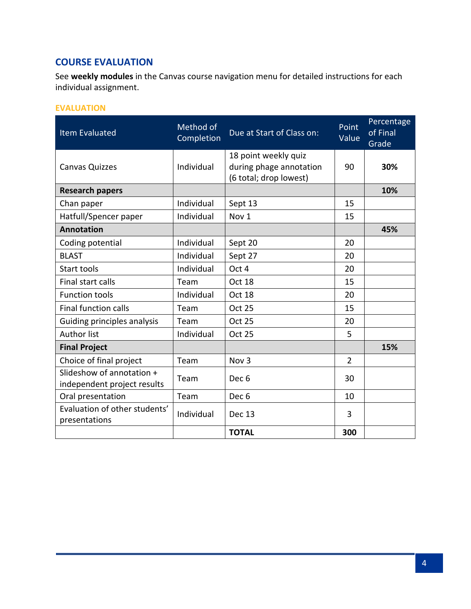# **COURSE EVALUATION**

See **weekly modules** in the Canvas course navigation menu for detailed instructions for each individual assignment.

# **EVALUATION**

| <b>Item Evaluated</b>                                    | Method of<br>Completion | Due at Start of Class on:                                                 | Point<br>Value | Percentage<br>of Final<br>Grade |
|----------------------------------------------------------|-------------------------|---------------------------------------------------------------------------|----------------|---------------------------------|
| <b>Canvas Quizzes</b>                                    | Individual              | 18 point weekly quiz<br>during phage annotation<br>(6 total; drop lowest) | 90             | 30%                             |
| <b>Research papers</b>                                   |                         |                                                                           |                | 10%                             |
| Chan paper                                               | Individual              | Sept 13                                                                   | 15             |                                 |
| Hatfull/Spencer paper                                    | Individual              | Nov 1                                                                     | 15             |                                 |
| <b>Annotation</b>                                        |                         |                                                                           |                | 45%                             |
| Coding potential                                         | Individual              | Sept 20                                                                   | 20             |                                 |
| <b>BLAST</b>                                             | Individual              | Sept 27                                                                   | 20             |                                 |
| Start tools                                              | Individual              | Oct 4                                                                     | 20             |                                 |
| Final start calls                                        | Team                    | Oct 18                                                                    | 15             |                                 |
| <b>Function tools</b>                                    | Individual              | Oct 18                                                                    | 20             |                                 |
| <b>Final function calls</b>                              | Team                    | <b>Oct 25</b>                                                             | 15             |                                 |
| Guiding principles analysis                              | Team                    | <b>Oct 25</b>                                                             | 20             |                                 |
| <b>Author list</b>                                       | Individual              | <b>Oct 25</b>                                                             | 5              |                                 |
| <b>Final Project</b>                                     |                         |                                                                           |                | 15%                             |
| Choice of final project                                  | Team                    | Nov <sub>3</sub>                                                          | $\overline{2}$ |                                 |
| Slideshow of annotation +<br>independent project results | Team                    | Dec 6                                                                     | 30             |                                 |
| Oral presentation                                        | Team                    | Dec 6                                                                     | 10             |                                 |
| Evaluation of other students'<br>presentations           | Individual              | Dec 13                                                                    | 3              |                                 |
|                                                          |                         | <b>TOTAL</b>                                                              | 300            |                                 |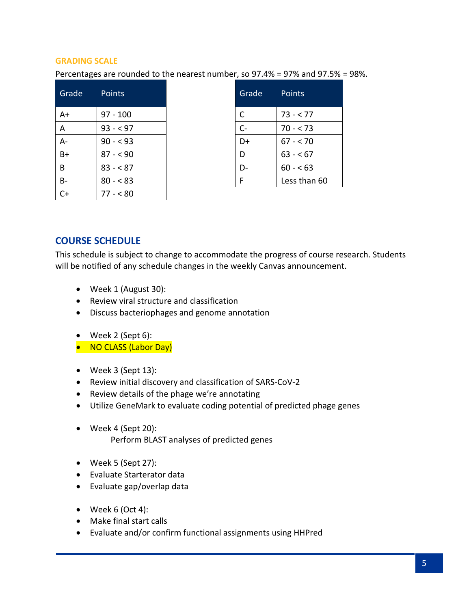#### **GRADING SCALE**

Percentages are rounded to the nearest number, so 97.4% = 97% and 97.5% = 98%.

| Grade     | <b>Points</b> | Grade | Points       |
|-----------|---------------|-------|--------------|
| A+        | $97 - 100$    | C     | $73 - 77$    |
| A         | $93 - 97$     | $C -$ | $70 - 73$    |
| $A -$     | $90 - 93$     | D+    | $67 - 70$    |
| $B+$      | $87 - 90$     | D     | $63 - 67$    |
| B         | $83 - 87$     | $D-$  | $60 - 63$    |
| <b>B-</b> | $80 - 83$     | F     | Less than 60 |
| C+        | $77 - 80$     |       |              |

| Grade | Points       |
|-------|--------------|
| C     | 73 - < 77    |
| $C -$ | $70 - 573$   |
| D+    | 67 - < 70    |
| D     | $63 - 67$    |
|       | $60 - 53$    |
| F     | Less than 60 |

#### **COURSE SCHEDULE**

This schedule is subject to change to accommodate the progress of course research. Students will be notified of any schedule changes in the weekly Canvas announcement.

- Week 1 (August 30):
- Review viral structure and classification
- Discuss bacteriophages and genome annotation
- Week 2 (Sept 6):
- NO CLASS (Labor Day)
- Week 3 (Sept 13):
- Review initial discovery and classification of SARS-CoV-2
- Review details of the phage we're annotating
- Utilize GeneMark to evaluate coding potential of predicted phage genes
- Week 4 (Sept 20): Perform BLAST analyses of predicted genes
- Week 5 (Sept 27):
- Evaluate Starterator data
- Evaluate gap/overlap data
- Week 6 (Oct 4):
- Make final start calls
- Evaluate and/or confirm functional assignments using HHPred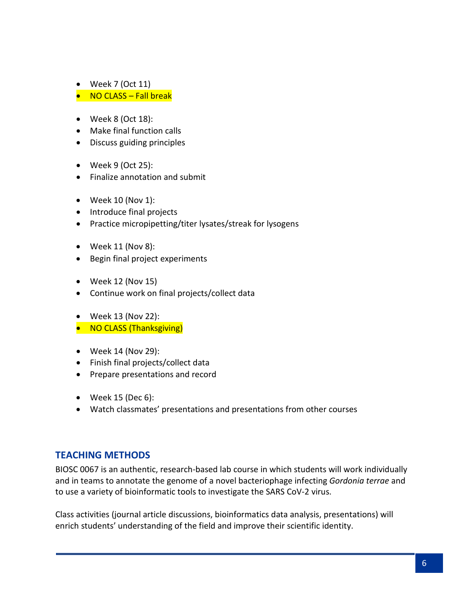- Week 7 (Oct 11)
- NO CLASS Fall break
- Week 8 (Oct 18):
- Make final function calls
- Discuss guiding principles
- Week 9 (Oct 25):
- Finalize annotation and submit
- Week 10 (Nov 1):
- Introduce final projects
- Practice micropipetting/titer lysates/streak for lysogens
- Week 11 (Nov 8):
- Begin final project experiments
- Week 12 (Nov 15)
- Continue work on final projects/collect data
- Week 13 (Nov 22):
- NO CLASS (Thanksgiving)
- Week 14 (Nov 29):
- Finish final projects/collect data
- Prepare presentations and record
- Week 15 (Dec 6):
- Watch classmates' presentations and presentations from other courses

# **TEACHING METHODS**

BIOSC 0067 is an authentic, research-based lab course in which students will work individually and in teams to annotate the genome of a novel bacteriophage infecting *Gordonia terrae* and to use a variety of bioinformatic tools to investigate the SARS CoV-2 virus.

Class activities (journal article discussions, bioinformatics data analysis, presentations) will enrich students' understanding of the field and improve their scientific identity.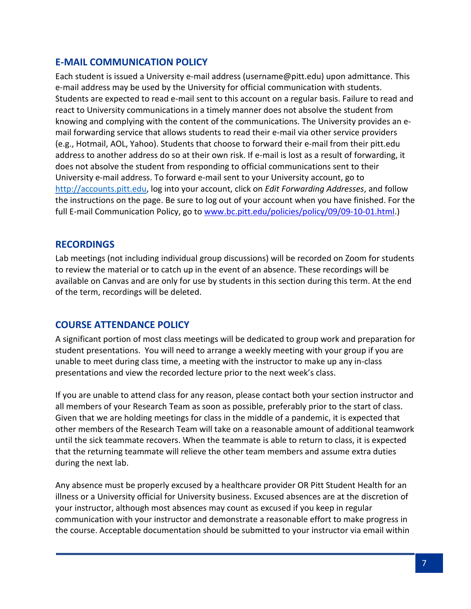# **E-MAIL COMMUNICATION POLICY**

Each student is issued a University e-mail address (username@pitt.edu) upon admittance. This e-mail address may be used by the University for official communication with students. Students are expected to read e-mail sent to this account on a regular basis. Failure to read and react to University communications in a timely manner does not absolve the student from knowing and complying with the content of the communications. The University provides an email forwarding service that allows students to read their e-mail via other service providers (e.g., Hotmail, AOL, Yahoo). Students that choose to forward their e-mail from their pitt.edu address to another address do so at their own risk. If e-mail is lost as a result of forwarding, it does not absolve the student from responding to official communications sent to their University e-mail address. To forward e-mail sent to your University account, go to [http://accounts.pitt.edu,](http://accounts.pitt.edu/) log into your account, click on *Edit Forwarding Addresses*, and follow the instructions on the page. Be sure to log out of your account when you have finished. For the full E-mail Communication Policy, go to [www.bc.pitt.edu/policies/policy/09/09-10-01.html.](http://www.bc.pitt.edu/policies/policy/09/09-10-01.html))

# **RECORDINGS**

Lab meetings (not including individual group discussions) will be recorded on Zoom for students to review the material or to catch up in the event of an absence. These recordings will be available on Canvas and are only for use by students in this section during this term. At the end of the term, recordings will be deleted.

# **COURSE ATTENDANCE POLICY**

A significant portion of most class meetings will be dedicated to group work and preparation for student presentations. You will need to arrange a weekly meeting with your group if you are unable to meet during class time, a meeting with the instructor to make up any in-class presentations and view the recorded lecture prior to the next week's class.

If you are unable to attend class for any reason, please contact both your section instructor and all members of your Research Team as soon as possible, preferably prior to the start of class. Given that we are holding meetings for class in the middle of a pandemic, it is expected that other members of the Research Team will take on a reasonable amount of additional teamwork until the sick teammate recovers. When the teammate is able to return to class, it is expected that the returning teammate will relieve the other team members and assume extra duties during the next lab.

Any absence must be properly excused by a healthcare provider OR Pitt Student Health for an illness or a University official for University business. Excused absences are at the discretion of your instructor, although most absences may count as excused if you keep in regular communication with your instructor and demonstrate a reasonable effort to make progress in the course. Acceptable documentation should be submitted to your instructor via email within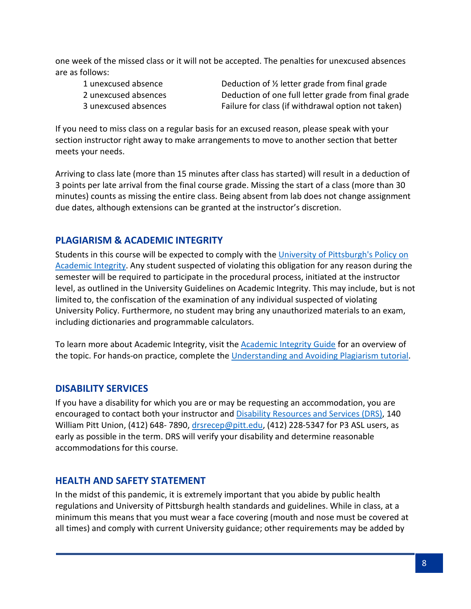one week of the missed class or it will not be accepted. The penalties for unexcused absences are as follows:

1 unexcused absence **Deduction of**  $\frac{1}{2}$  **letter grade from final grade** 2 unexcused absences Deduction of one full letter grade from final grade 3 unexcused absences Failure for class (if withdrawal option not taken)

If you need to miss class on a regular basis for an excused reason, please speak with your section instructor right away to make arrangements to move to another section that better meets your needs.

Arriving to class late (more than 15 minutes after class has started) will result in a deduction of 3 points per late arrival from the final course grade. Missing the start of a class (more than 30 minutes) counts as missing the entire class. Being absent from lab does not change assignment due dates, although extensions can be granted at the instructor's discretion.

# **PLAGIARISM & ACADEMIC INTEGRITY**

Students in this course will be expected to comply with the University of Pittsburgh's Policy on [Academic Integrity.](http://www.cfo.pitt.edu/policies/policy/02/02-03-02.html) Any student suspected of violating this obligation for any reason during the semester will be required to participate in the procedural process, initiated at the instructor level, as outlined in the University Guidelines on Academic Integrity. This may include, but is not limited to, the confiscation of the examination of any individual suspected of violating University Policy. Furthermore, no student may bring any unauthorized materials to an exam, including dictionaries and programmable calculators.

To learn more about Academic Integrity, visit the [Academic Integrity Guide](http://pitt.libguides.com/academicintegrity/) for an overview of the topic. For hands-on practice, complete the [Understanding and Avoiding Plagiarism tutorial.](https://bts.library.pitt.edu/eLearning/Captivate/Understanding_Avoiding_Plagiarism/multiscreen.html)

# **DISABILITY SERVICES**

If you have a disability for which you are or may be requesting an accommodation, you are encouraged to contact both your instructor and **Disability Resources and Services (DRS)**, 140 William Pitt Union, (412) 648-7890, [drsrecep@pitt.edu,](mailto:drsrecep@pitt.edu) (412) 228-5347 for P3 ASL users, as early as possible in the term. DRS will verify your disability and determine reasonable accommodations for this course.

# **HEALTH AND SAFETY STATEMENT**

In the midst of this pandemic, it is extremely important that you abide by public health regulations and University of Pittsburgh health standards and guidelines. While in class, at a minimum this means that you must wear a face covering (mouth and nose must be covered at all times) and comply with current University guidance; other requirements may be added by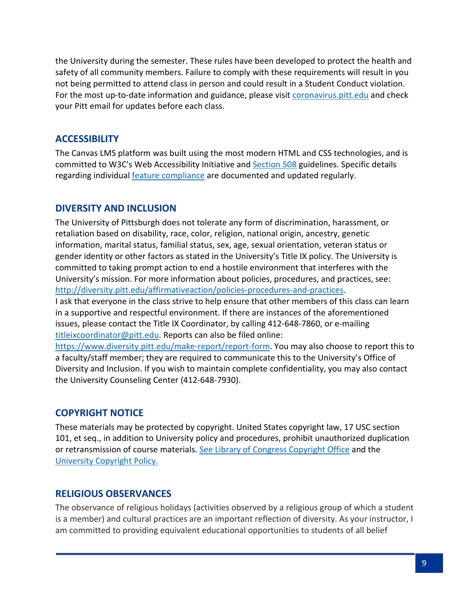the University during the semester. These rules have been developed to protect the health and safety of all community members. Failure to comply with these requirements will result in you not being permitted to attend class in person and could result in a Student Conduct violation. For the most up-to-date information and guidance, please visit [coronavirus.pitt.edu](http://coronavirus.pitt.edu/) and check your Pitt email for updates before each class.

# **ACCESSIBILITY**

The Canvas LMS platform was built using the most modern HTML and CSS technologies, and is committed to W3C's Web Accessibility Initiative and [Section 508](https://www.section508.gov/) guidelines. Specific details regarding individual feature [compliance](https://community.canvaslms.com/docs/DOC-2061-accessibility-within-canvas) are documented and updated regularly.

# **DIVERSITY AND INCLUSION**

The University of Pittsburgh does not tolerate any form of discrimination, harassment, or retaliation based on disability, race, color, religion, national origin, ancestry, genetic information, marital status, familial status, sex, age, sexual orientation, veteran status or gender identity or other factors as stated in the University's Title IX policy. The University is committed to taking prompt action to end a hostile environment that interferes with the University's mission. For more information about policies, procedures, and practices, see: [http://diversity.pitt.edu/affirmativeaction/policies-procedures-and-practices.](http://diversity.pitt.edu/affirmativeaction/policies-procedures-and-practices)

I ask that everyone in the class strive to help ensure that other members of this class can learn in a supportive and respectful environment. If there are instances of the aforementioned issues, please contact the Title IX Coordinator, by calling 412-648-7860, or e-mailing [titleixcoordinator@pitt.edu.](mailto:titleixcoordinator@pitt.edu) Reports can also be filed online:

[https://www.diversity.pitt.edu/make-report/report-form.](https://www.diversity.pitt.edu/make-report/report-form) You may also choose to report this to a faculty/staff member; they are required to communicate this to the University's Office of Diversity and Inclusion. If you wish to maintain complete confidentiality, you may also contact the University Counseling Center (412-648-7930).

# **COPYRIGHT NOTICE**

These materials may be protected by copyright. United States copyright law, 17 USC section 101, et seq., in addition to University policy and procedures, prohibit unauthorized duplication or retransmission of course materials. See [Library of Congress Copyright Office](http://www.copyright.gov/) and the [University Copyright Policy.](http://www.library.pitt.edu/copyright-pitt)

# **RELIGIOUS OBSERVANCES**

The observance of religious holidays (activities observed by a religious group of which a student is a member) and cultural practices are an important reflection of diversity. As your instructor, I am committed to providing equivalent educational opportunities to students of all belief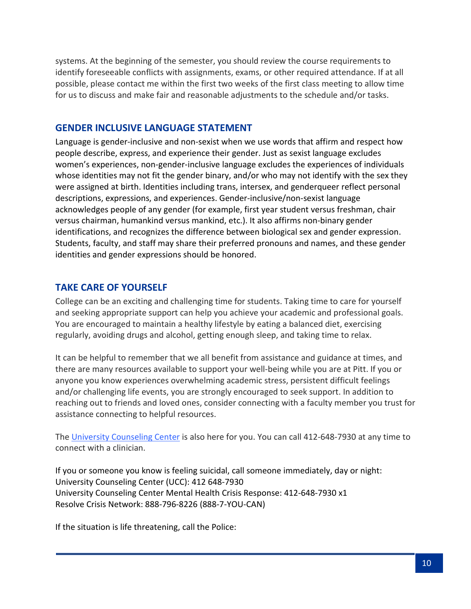systems. At the beginning of the semester, you should review the course requirements to identify foreseeable conflicts with assignments, exams, or other required attendance. If at all possible, please contact me within the first two weeks of the first class meeting to allow time for us to discuss and make fair and reasonable adjustments to the schedule and/or tasks.

#### **GENDER INCLUSIVE LANGUAGE STATEMENT**

Language is gender-inclusive and non-sexist when we use words that affirm and respect how people describe, express, and experience their gender. Just as sexist language excludes women's experiences, non-gender-inclusive language excludes the experiences of individuals whose identities may not fit the gender binary, and/or who may not identify with the sex they were assigned at birth. Identities including trans, intersex, and genderqueer reflect personal descriptions, expressions, and experiences. Gender-inclusive/non-sexist language acknowledges people of any gender (for example, first year student versus freshman, chair versus chairman, humankind versus mankind, etc.). It also affirms non-binary gender identifications, and recognizes the difference between biological sex and gender expression. Students, faculty, and staff may share their preferred pronouns and names, and these gender identities and gender expressions should be honored.

# **TAKE CARE OF YOURSELF**

College can be an exciting and challenging time for students. Taking time to care for yourself and seeking appropriate support can help you achieve your academic and professional goals. You are encouraged to maintain a healthy lifestyle by eating a balanced diet, exercising regularly, avoiding drugs and alcohol, getting enough sleep, and taking time to relax.

It can be helpful to remember that we all benefit from assistance and guidance at times, and there are many resources available to support your well-being while you are at Pitt. If you or anyone you know experiences overwhelming academic stress, persistent difficult feelings and/or challenging life events, you are strongly encouraged to seek support. In addition to reaching out to friends and loved ones, consider connecting with a faculty member you trust for assistance connecting to helpful resources.

The [University Counseling Center](http://www.counseling.pitt.edu/) is also here for you. You can call 412-648-7930 at any time to connect with a clinician.

If you or someone you know is feeling suicidal, call someone immediately, day or night: University Counseling Center (UCC): 412 648-7930 University Counseling Center Mental Health Crisis Response: 412-648-7930 x1 Resolve Crisis Network: 888-796-8226 (888-7-YOU-CAN)

If the situation is life threatening, call the Police: